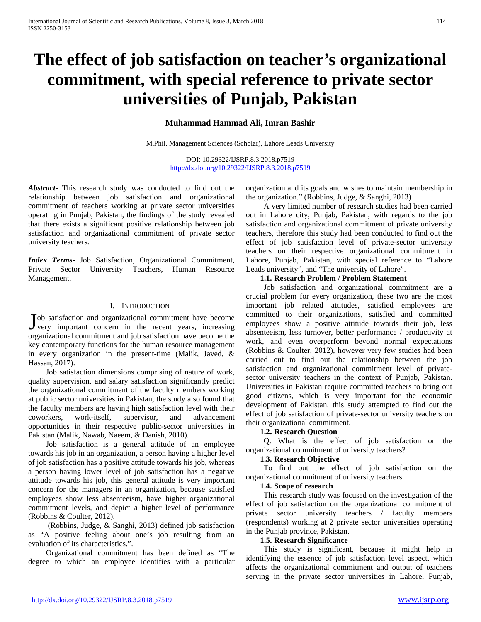# **The effect of job satisfaction on teacher's organizational commitment, with special reference to private sector universities of Punjab, Pakistan**

# **Muhammad Hammad Ali, Imran Bashir**

M.Phil. Management Sciences (Scholar), Lahore Leads University

DOI: 10.29322/IJSRP.8.3.2018.p7519 <http://dx.doi.org/10.29322/IJSRP.8.3.2018.p7519>

*Abstract***-** This research study was conducted to find out the relationship between job satisfaction and organizational commitment of teachers working at private sector universities operating in Punjab, Pakistan, the findings of the study revealed that there exists a significant positive relationship between job satisfaction and organizational commitment of private sector university teachers.

*Index Terms*- Job Satisfaction, Organizational Commitment, Private Sector University Teachers, Human Resource Management.

#### I. INTRODUCTION

ob satisfaction and organizational commitment have become Job satisfaction and organizational commitment have become very important concern in the recent years, increasing organizational commitment and job satisfaction have become the key contemporary functions for the human resource management in every organization in the present-time (Malik, Javed, & Hassan, 2017).

 Job satisfaction dimensions comprising of nature of work, quality supervision, and salary satisfaction significantly predict the organizational commitment of the faculty members working at public sector universities in Pakistan, the study also found that the faculty members are having high satisfaction level with their coworkers, work-itself, supervisor, and advancement opportunities in their respective public-sector universities in Pakistan (Malik, Nawab, Naeem, & Danish, 2010).

 Job satisfaction is a general attitude of an employee towards his job in an organization, a person having a higher level of job satisfaction has a positive attitude towards his job, whereas a person having lower level of job satisfaction has a negative attitude towards his job, this general attitude is very important concern for the managers in an organization, because satisfied employees show less absenteeism, have higher organizational commitment levels, and depict a higher level of performance (Robbins & Coulter, 2012).

 (Robbins, Judge, & Sanghi, 2013) defined job satisfaction as "A positive feeling about one's job resulting from an evaluation of its characteristics.".

 Organizational commitment has been defined as "The degree to which an employee identifies with a particular

organization and its goals and wishes to maintain membership in the organization." (Robbins, Judge, & Sanghi, 2013)

 A very limited number of research studies had been carried out in Lahore city, Punjab, Pakistan, with regards to the job satisfaction and organizational commitment of private university teachers, therefore this study had been conducted to find out the effect of job satisfaction level of private-sector university teachers on their respective organizational commitment in Lahore, Punjab, Pakistan, with special reference to "Lahore Leads university", and "The university of Lahore".

## **1.1. Research Problem / Problem Statement**

 Job satisfaction and organizational commitment are a crucial problem for every organization, these two are the most important job related attitudes, satisfied employees are committed to their organizations, satisfied and committed employees show a positive attitude towards their job, less absenteeism, less turnover, better performance / productivity at work, and even overperform beyond normal expectations (Robbins & Coulter, 2012), however very few studies had been carried out to find out the relationship between the job satisfaction and organizational commitment level of privatesector university teachers in the context of Punjab, Pakistan. Universities in Pakistan require committed teachers to bring out good citizens, which is very important for the economic development of Pakistan, this study attempted to find out the effect of job satisfaction of private-sector university teachers on their organizational commitment.

## **1.2. Research Question**

 Q. What is the effect of job satisfaction on the organizational commitment of university teachers?

#### **1.3. Research Objective**

 To find out the effect of job satisfaction on the organizational commitment of university teachers.

#### **1.4. Scope of research**

 This research study was focused on the investigation of the effect of job satisfaction on the organizational commitment of private sector university teachers / faculty members (respondents) working at 2 private sector universities operating in the Punjab province, Pakistan.

## **1.5. Research Significance**

 This study is significant, because it might help in identifying the essence of job satisfaction level aspect, which affects the organizational commitment and output of teachers serving in the private sector universities in Lahore, Punjab,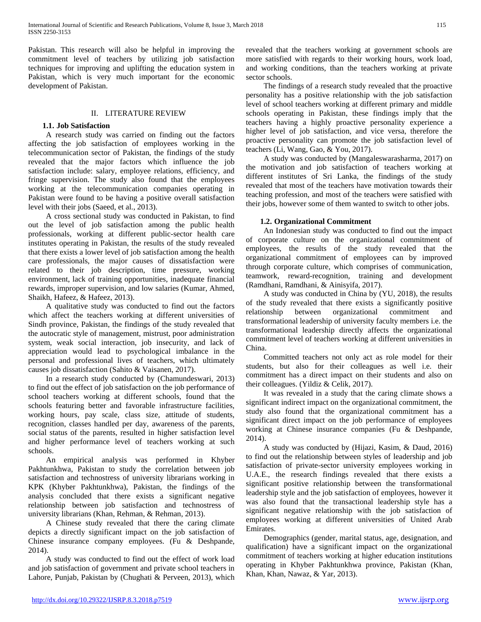Pakistan. This research will also be helpful in improving the commitment level of teachers by utilizing job satisfaction techniques for improving and uplifting the education system in Pakistan, which is very much important for the economic development of Pakistan.

## II. LITERATURE REVIEW

## **1.1. Job Satisfaction**

 A research study was carried on finding out the factors affecting the job satisfaction of employees working in the telecommunication sector of Pakistan, the findings of the study revealed that the major factors which influence the job satisfaction include: salary, employee relations, efficiency, and fringe supervision. The study also found that the employees working at the telecommunication companies operating in Pakistan were found to be having a positive overall satisfaction level with their jobs (Saeed, et al., 2013).

 A cross sectional study was conducted in Pakistan, to find out the level of job satisfaction among the public health professionals, working at different public-sector health care institutes operating in Pakistan, the results of the study revealed that there exists a lower level of job satisfaction among the health care professionals, the major causes of dissatisfaction were related to their job description, time pressure, working environment, lack of training opportunities, inadequate financial rewards, improper supervision, and low salaries (Kumar, Ahmed, Shaikh, Hafeez, & Hafeez, 2013).

 A qualitative study was conducted to find out the factors which affect the teachers working at different universities of Sindh province, Pakistan, the findings of the study revealed that the autocratic style of management, mistrust, poor administration system, weak social interaction, job insecurity, and lack of appreciation would lead to psychological imbalance in the personal and professional lives of teachers, which ultimately causes job dissatisfaction (Sahito & Vaisanen, 2017).

 In a research study conducted by (Chamundeswari, 2013) to find out the effect of job satisfaction on the job performance of school teachers working at different schools, found that the schools featuring better and favorable infrastructure facilities, working hours, pay scale, class size, attitude of students, recognition, classes handled per day, awareness of the parents, social status of the parents, resulted in higher satisfaction level and higher performance level of teachers working at such schools.

 An empirical analysis was performed in Khyber Pakhtunkhwa, Pakistan to study the correlation between job satisfaction and technostress of university librarians working in KPK (Khyber Pakhtunkhwa), Pakistan, the findings of the analysis concluded that there exists a significant negative relationship between job satisfaction and technostress of university librarians (Khan, Rehman, & Rehman, 2013).

 A Chinese study revealed that there the caring climate depicts a directly significant impact on the job satisfaction of Chinese insurance company employees. (Fu & Deshpande, 2014).

 A study was conducted to find out the effect of work load and job satisfaction of government and private school teachers in Lahore, Punjab, Pakistan by (Chughati & Perveen, 2013), which

revealed that the teachers working at government schools are more satisfied with regards to their working hours, work load, and working conditions, than the teachers working at private sector schools.

 The findings of a research study revealed that the proactive personality has a positive relationship with the job satisfaction level of school teachers working at different primary and middle schools operating in Pakistan, these findings imply that the teachers having a highly proactive personality experience a higher level of job satisfaction, and vice versa, therefore the proactive personality can promote the job satisfaction level of teachers (Li, Wang, Gao, & You, 2017).

 A study was conducted by (Mangaleswarasharma, 2017) on the motivation and job satisfaction of teachers working at different institutes of Sri Lanka, the findings of the study revealed that most of the teachers have motivation towards their teaching profession, and most of the teachers were satisfied with their jobs, however some of them wanted to switch to other jobs.

# **1.2. Organizational Commitment**

 An Indonesian study was conducted to find out the impact of corporate culture on the organizational commitment of employees, the results of the study revealed that the organizational commitment of employees can by improved through corporate culture, which comprises of communication, teamwork, reward-recognition, training and development (Ramdhani, Ramdhani, & Ainisyifa, 2017).

 A study was conducted in China by (YU, 2018), the results of the study revealed that there exists a significantly positive relationship between organizational commitment and transformational leadership of university faculty members i.e. the transformational leadership directly affects the organizational commitment level of teachers working at different universities in China.

 Committed teachers not only act as role model for their students, but also for their colleagues as well i.e. their commitment has a direct impact on their students and also on their colleagues. (Yildiz & Celik, 2017).

 It was revealed in a study that the caring climate shows a significant indirect impact on the organizational commitment, the study also found that the organizational commitment has a significant direct impact on the job performance of employees working at Chinese insurance companies (Fu & Deshpande, 2014).

 A study was conducted by (Hijazi, Kasim, & Daud, 2016) to find out the relationship between styles of leadership and job satisfaction of private-sector university employees working in U.A.E., the research findings revealed that there exists a significant positive relationship between the transformational leadership style and the job satisfaction of employees, however it was also found that the transactional leadership style has a significant negative relationship with the job satisfaction of employees working at different universities of United Arab Emirates.

 Demographics (gender, marital status, age, designation, and qualification) have a significant impact on the organizational commitment of teachers working at higher education institutions operating in Khyber Pakhtunkhwa province, Pakistan (Khan, Khan, Khan, Nawaz, & Yar, 2013).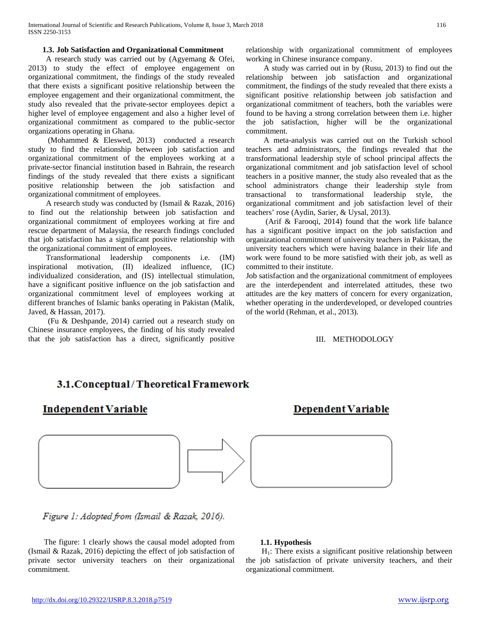## **1.3. Job Satisfaction and Organizational Commitment**

 A research study was carried out by (Agyemang & Ofei, 2013) to study the effect of employee engagement on organizational commitment, the findings of the study revealed that there exists a significant positive relationship between the employee engagement and their organizational commitment, the study also revealed that the private-sector employees depict a higher level of employee engagement and also a higher level of organizational commitment as compared to the public-sector organizations operating in Ghana.

 (Mohammed & Eleswed, 2013) conducted a research study to find the relationship between job satisfaction and organizational commitment of the employees working at a private-sector financial institution based in Bahrain, the research findings of the study revealed that there exists a significant positive relationship between the job satisfaction and organizational commitment of employees.

 A research study was conducted by (Ismail & Razak, 2016) to find out the relationship between job satisfaction and organizational commitment of employees working at fire and rescue department of Malaysia, the research findings concluded that job satisfaction has a significant positive relationship with the organizational commitment of employees.

 Transformational leadership components i.e. (IM) inspirational motivation, (II) idealized influence, (IC) individualized consideration, and (IS) intellectual stimulation, have a significant positive influence on the job satisfaction and organizational commitment level of employees working at different branches of Islamic banks operating in Pakistan (Malik, Javed, & Hassan, 2017).

 (Fu & Deshpande, 2014) carried out a research study on Chinese insurance employees, the finding of his study revealed that the job satisfaction has a direct, significantly positive relationship with organizational commitment of employees working in Chinese insurance company.

 A study was carried out in by (Rusu, 2013) to find out the relationship between job satisfaction and organizational commitment, the findings of the study revealed that there exists a significant positive relationship between job satisfaction and organizational commitment of teachers, both the variables were found to be having a strong correlation between them i.e. higher the job satisfaction, higher will be the organizational commitment.

 A meta-analysis was carried out on the Turkish school teachers and administrators, the findings revealed that the transformational leadership style of school principal affects the organizational commitment and job satisfaction level of school teachers in a positive manner, the study also revealed that as the school administrators change their leadership style from transactional to transformational leadership style, the organizational commitment and job satisfaction level of their teachers' rose (Aydin, Sarier, & Uysal, 2013).

 (Arif & Farooqi, 2014) found that the work life balance has a significant positive impact on the job satisfaction and organizational commitment of university teachers in Pakistan, the university teachers which were having balance in their life and work were found to be more satisfied with their job, as well as committed to their institute.

Job satisfaction and the organizational commitment of employees are the interdependent and interrelated attitudes, these two attitudes are the key matters of concern for every organization, whether operating in the underdeveloped, or developed countries of the world (Rehman, et al., 2013).

## III. METHODOLOGY

# 3.1.Conceptual/Theoretical Framework

# Independent Variable

# **Dependent Variable**



Figure 1: Adopted from (Ismail & Razak, 2016).

 The figure: 1 clearly shows the causal model adopted from (Ismail & Razak, 2016) depicting the effect of job satisfaction of private sector university teachers on their organizational commitment.

## **1.1. Hypothesis**

 $H<sub>1</sub>$ : There exists a significant positive relationship between the job satisfaction of private university teachers, and their organizational commitment.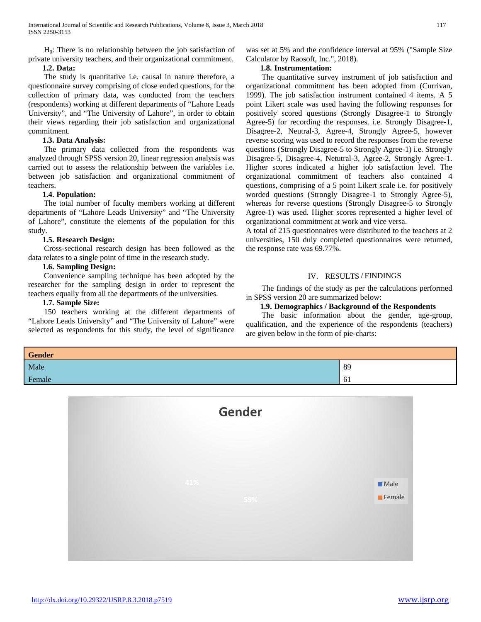$H_0$ : There is no relationship between the job satisfaction of private university teachers, and their organizational commitment.

# **1.2. Data:**

 The study is quantitative i.e. causal in nature therefore, a questionnaire survey comprising of close ended questions, for the collection of primary data, was conducted from the teachers (respondents) working at different departments of "Lahore Leads University", and "The University of Lahore", in order to obtain their views regarding their job satisfaction and organizational commitment.

# **1.3. Data Analysis:**

 The primary data collected from the respondents was analyzed through SPSS version 20, linear regression analysis was carried out to assess the relationship between the variables i.e. between job satisfaction and organizational commitment of teachers.

# **1.4. Population:**

 The total number of faculty members working at different departments of "Lahore Leads University" and "The University of Lahore", constitute the elements of the population for this study.

# **1.5. Research Design:**

 Cross-sectional research design has been followed as the data relates to a single point of time in the research study.

# **1.6. Sampling Design:**

 Convenience sampling technique has been adopted by the researcher for the sampling design in order to represent the teachers equally from all the departments of the universities.

## **1.7. Sample Size:**

 150 teachers working at the different departments of "Lahore Leads University" and "The University of Lahore" were selected as respondents for this study, the level of significance was set at 5% and the confidence interval at 95% ("Sample Size Calculator by Raosoft, Inc.", 2018).

## **1.8. Instrumentation:**

 The quantitative survey instrument of job satisfaction and organizational commitment has been adopted from (Currivan, 1999). The job satisfaction instrument contained 4 items. A 5 point Likert scale was used having the following responses for positively scored questions (Strongly Disagree-1 to Strongly Agree-5) for recording the responses. i.e. Strongly Disagree-1, Disagree-2, Neutral-3, Agree-4, Strongly Agree-5, however reverse scoring was used to record the responses from the reverse questions (Strongly Disagree-5 to Strongly Agree-1) i.e. Strongly Disagree-5, Disagree-4, Netutral-3, Agree-2, Strongly Agree-1. Higher scores indicated a higher job satisfaction level. The organizational commitment of teachers also contained 4 questions, comprising of a 5 point Likert scale i.e. for positively worded questions (Strongly Disagree-1 to Strongly Agree-5), whereas for reverse questions (Strongly Disagree-5 to Strongly Agree-1) was used. Higher scores represented a higher level of organizational commitment at work and vice versa.

A total of 215 questionnaires were distributed to the teachers at 2 universities, 150 duly completed questionnaires were returned, the response rate was 69.77%.

# IV. RESULTS / FINDINGS

 The findings of the study as per the calculations performed in SPSS version 20 are summarized below:

# **1.9. Demographics / Background of the Respondents**

 The basic information about the gender, age-group, qualification, and the experience of the respondents (teachers) are given below in the form of pie-charts:

| <b>Gender</b> |    |
|---------------|----|
| Male          | 89 |
| Female        | 6i |

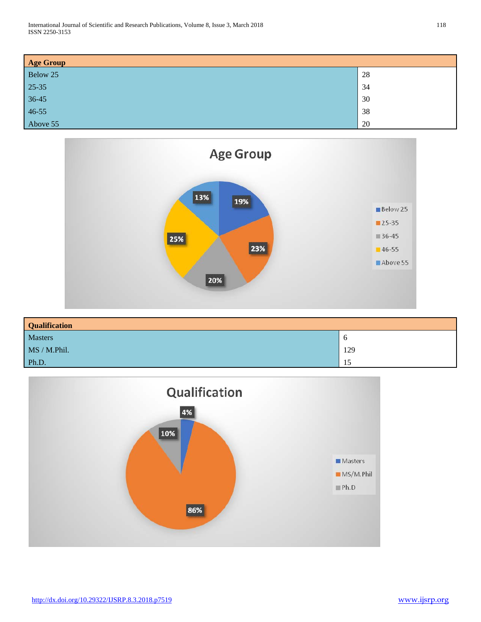| <b>Age Group</b> |    |
|------------------|----|
| Below 25         | 28 |
| $25 - 35$        | 34 |
| $36-45$          | 30 |
| $46 - 55$        | 38 |
| Above 55         | 20 |



| <b>Qualification</b> |             |
|----------------------|-------------|
| Masters              | $\mathbf o$ |
| MS / M.Phil.         | 129         |
| Ph.D.                | 15          |

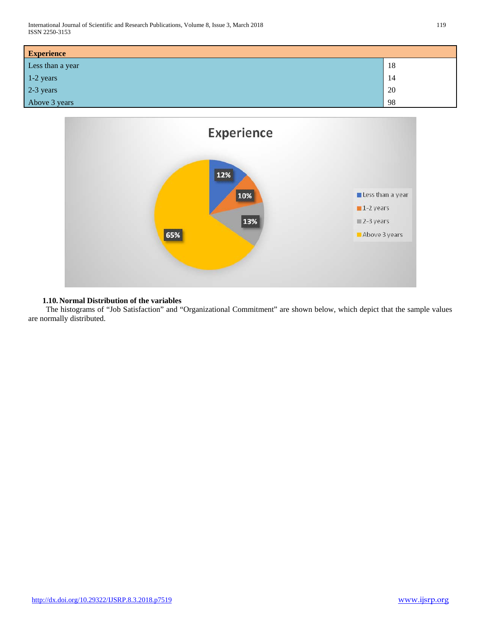| <b>Experience</b> |    |
|-------------------|----|
| Less than a year  | 18 |
| 1-2 years         | 14 |
| 2-3 years         | 20 |
| Above 3 years     | 98 |



# **1.10. Normal Distribution of the variables**

 The histograms of "Job Satisfaction" and "Organizational Commitment" are shown below, which depict that the sample values are normally distributed.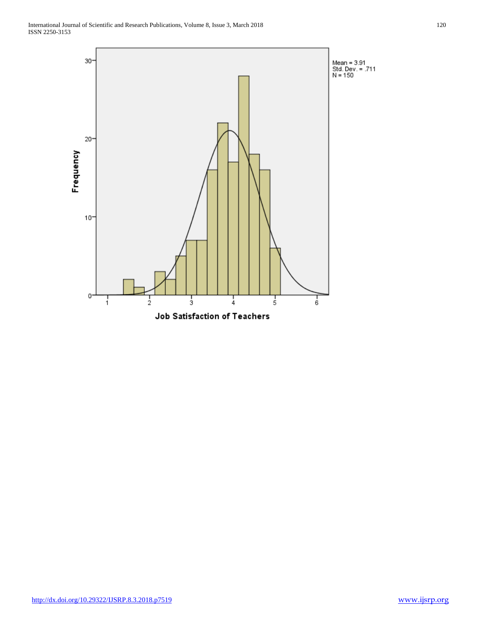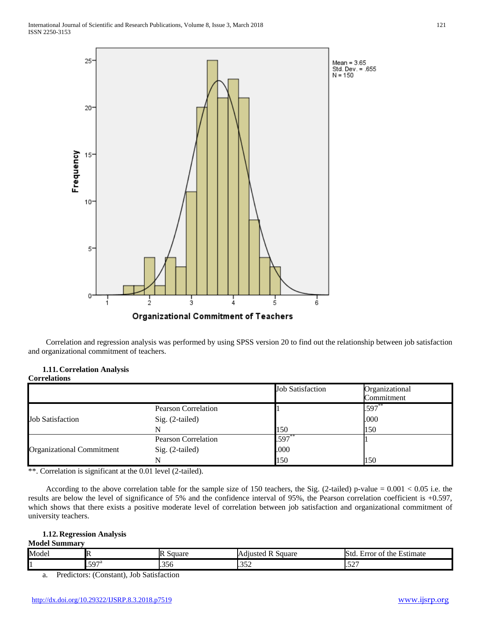

 Correlation and regression analysis was performed by using SPSS version 20 to find out the relationship between job satisfaction and organizational commitment of teachers.

## **1.11. Correlation Analysis Correlations**

|                                  |                            | <b>Job Satisfaction</b> | Organizational |
|----------------------------------|----------------------------|-------------------------|----------------|
|                                  |                            |                         | Commitment     |
|                                  | <b>Pearson Correlation</b> |                         | $.597***$      |
| <b>Job Satisfaction</b>          | Sig. (2-tailed)            |                         | .000           |
|                                  |                            | 150                     | 150            |
|                                  | <b>Pearson Correlation</b> | .597                    |                |
| <b>Organizational Commitment</b> | Sig. (2-tailed)            | .000                    |                |
|                                  |                            | 150                     | 150            |

\*\*. Correlation is significant at the 0.01 level (2-tailed).

According to the above correlation table for the sample size of 150 teachers, the Sig. (2-tailed) p-value =  $0.001 < 0.05$  i.e. the results are below the level of significance of 5% and the confidence interval of 95%, the Pearson correlation coefficient is +0.597, which shows that there exists a positive moderate level of correlation between job satisfaction and organizational commitment of university teachers.

# **1.12. Regression Analysis**

# **Model Summary**

| Model | Iŀ     | lR<br>Square  | - Adiusteg<br>Square<br>N | <b>Std</b><br>Estimate<br>the<br>error<br>O1 |
|-------|--------|---------------|---------------------------|----------------------------------------------|
| 1     | ' Γ∩Πί | $\sim$ $\sim$ | $\sim$ $\sim$ $\sim$      | $\sim$ $\sim$ $\sim$                         |
|       | ⋯      | I.330         | $\sim$                    | ••∠                                          |

a. Predictors: (Constant), Job Satisfaction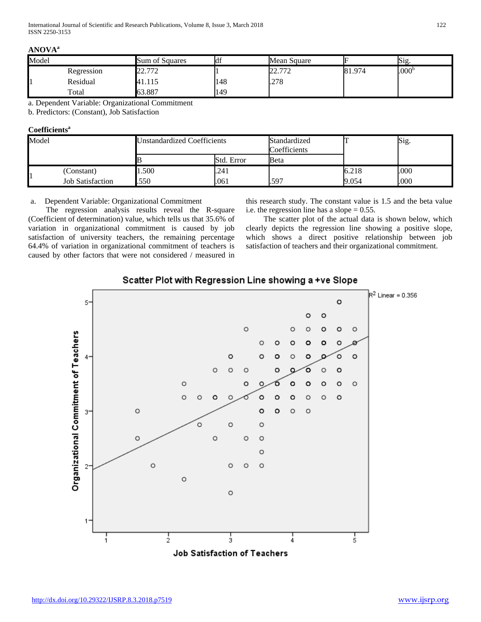|--|--|

| Model |            | Sum of Squares             | . . | Mean Square          |        | Sig.              |
|-------|------------|----------------------------|-----|----------------------|--------|-------------------|
|       | Regression | 770<br>$\sqrt{2}$<br>44. I |     | מדיר הר<br>44. L L 4 | 81.974 | .000 <sup>b</sup> |
|       | Residual   | 81.IJ                      | 148 | .278                 |        |                   |
|       | Total      | 63.887                     | 149 |                      |        |                   |

a. Dependent Variable: Organizational Commitment

b. Predictors: (Constant), Job Satisfaction

# **Coefficients<sup>a</sup>**

| Model                        |  | <b>Unstandardized Coefficients</b> |            | Standardized<br>Coefficients |       | Sig. |
|------------------------------|--|------------------------------------|------------|------------------------------|-------|------|
|                              |  |                                    | Std. Error | Beta                         |       |      |
| (Constant)                   |  | 1.500                              | .241       |                              | 6.218 | .000 |
| 1<br><b>Job Satisfaction</b> |  | .550                               | .061       | .597                         | 9.054 | .000 |

# a. Dependent Variable: Organizational Commitment

 The regression analysis results reveal the R-square (Coefficient of determination) value, which tells us that 35.6% of variation in organizational commitment is caused by job satisfaction of university teachers, the remaining percentage 64.4% of variation in organizational commitment of teachers is caused by other factors that were not considered / measured in this research study. The constant value is 1.5 and the beta value i.e. the regression line has a slope = 0.55.

 The scatter plot of the actual data is shown below, which clearly depicts the regression line showing a positive slope, which shows a direct positive relationship between job satisfaction of teachers and their organizational commitment.

# Scatter Plot with Regression Line showing a +ve Slope

![](_page_8_Figure_12.jpeg)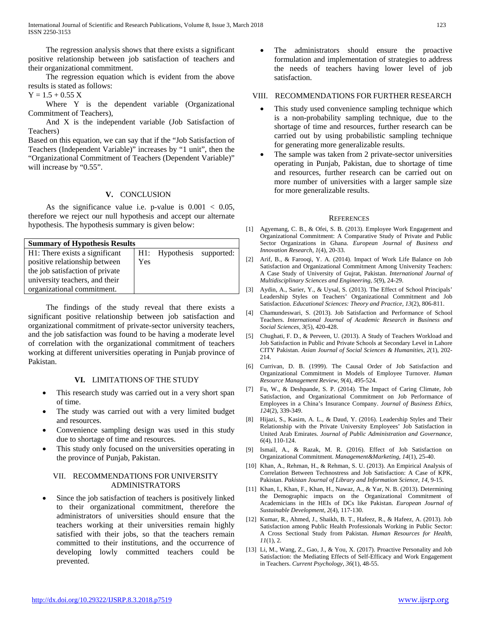International Journal of Scientific and Research Publications, Volume 8, Issue 3, March 2018 123 ISSN 2250-3153

 The regression analysis shows that there exists a significant positive relationship between job satisfaction of teachers and their organizational commitment.

 The regression equation which is evident from the above results is stated as follows:

 $Y = 1.5 + 0.55$  X

Where Y is the dependent variable (Organizational Commitment of Teachers),

 And X is the independent variable (Job Satisfaction of Teachers)

Based on this equation, we can say that if the "Job Satisfaction of Teachers (Independent Variable)" increases by "1 unit", then the "Organizational Commitment of Teachers (Dependent Variable)" will increase by "0.55".

## **V.** CONCLUSION

As the significance value i.e. p-value is  $0.001 < 0.05$ , therefore we reject our null hypothesis and accept our alternate hypothesis. The hypothesis summary is given below:

| <b>Summary of Hypothesis Results</b> |     |                |            |  |  |
|--------------------------------------|-----|----------------|------------|--|--|
| H1: There exists a significant       |     | H1: Hypothesis | supported: |  |  |
| positive relationship between        | Yes |                |            |  |  |
| the job satisfaction of private      |     |                |            |  |  |
| university teachers, and their       |     |                |            |  |  |
| organizational commitment.           |     |                |            |  |  |

 The findings of the study reveal that there exists a significant positive relationship between job satisfaction and organizational commitment of private-sector university teachers, and the job satisfaction was found to be having a moderate level of correlation with the organizational commitment of teachers working at different universities operating in Punjab province of Pakistan.

# **VI.** LIMITATIONS OF THE STUDY

- This research study was carried out in a very short span of time.
- The study was carried out with a very limited budget and resources.
- Convenience sampling design was used in this study due to shortage of time and resources.
- This study only focused on the universities operating in the province of Punjab, Pakistan.

#### VII. RECOMMENDATIONS FOR UNIVERSITY ADMINISTRATORS

Since the job satisfaction of teachers is positively linked to their organizational commitment, therefore the administrators of universities should ensure that the teachers working at their universities remain highly satisfied with their jobs, so that the teachers remain committed to their institutions, and the occurrence of developing lowly committed teachers could be prevented.

The administrators should ensure the proactive formulation and implementation of strategies to address the needs of teachers having lower level of job satisfaction.

#### VIII. RECOMMENDATIONS FOR FURTHER RESEARCH

- This study used convenience sampling technique which is a non-probability sampling technique, due to the shortage of time and resources, further research can be carried out by using probabilistic sampling technique for generating more generalizable results.
- The sample was taken from 2 private-sector universities operating in Punjab, Pakistan, due to shortage of time and resources, further research can be carried out on more number of universities with a larger sample size for more generalizable results.

#### **REFERENCES**

- [1] Agyemang, C. B., & Ofei, S. B. (2013). Employee Work Engagement and Organizational Commitment: A Comparative Study of Private and Public Sector Organizations in Ghana. *European Journal of Business and Innovation Research, 1*(4), 20-33.
- [2] Arif, B., & Farooqi, Y. A. (2014). Impact of Work Life Balance on Job Satisfaction and Organizational Commitment Among University Teachers: A Case Study of University of Gujrat, Pakistan. *International Journal of Multidisciplinary Sciences and Engineering, 5*(9), 24-29.
- [3] Aydin, A., Sarier, Y., & Uysal, S. (2013). The Effect of School Principals' Leadership Styles on Teachers' Organizational Commitment and Job Satisfaction. *Educational Sciences: Theory and Practice, 13*(2), 806-811.
- [4] Chamundeswari, S. (2013). Job Satisfaction and Performance of School Teachers. *International Journal of Academic Research in Business and Social Sciences, 3*(5), 420-428.
- [5] Chughati, F. D., & Perveen, U. (2013). A Study of Teachers Workload and Job Satisfaction in Public and Private Schools at Secondary Level in Lahore CITY Pakistan. *Asian Journal of Social Sciences & Humanities, 2*(1), 202- 214.
- [6] Currivan, D. B. (1999). The Causal Order of Job Satisfaction and Organizational Commitment in Models of Employee Turnover. *Human Resource Management Review, 9*(4), 495-524.
- [7] Fu, W., & Deshpande, S. P. (2014). The Impact of Caring Climate, Job Satisfaction, and Organizational Commitment on Job Performance of Employees in a China's Insurance Company. *Journal of Business Ethics, 124*(2), 339-349.
- [8] Hijazi, S., Kasim, A. L., & Daud, Y. (2016). Leadership Styles and Their Relationship with the Private University Employees' Job Satisfaction in United Arab Emirates. *Journal of Public Administration and Governance, 6*(4), 110-124.
- [9] Ismail, A., & Razak, M. R. (2016). Effect of Job Satisfaction on Organizational Commitment. *Management&Marketing, 14*(1), 25-40.
- [10] Khan, A., Rehman, H., & Rehman, S. U. (2013). An Empirical Analysis of Correlation Between Technostress and Job Satisfaction: A Case of KPK, Pakistan. *Pakistan Journal of Library and Information Science, 14*, 9-15.
- [11] Khan, I., Khan, F., Khan, H., Nawaz, A., & Yar, N. B. (2013). Determining the Demographic impacts on the Organizational Commitment of Academicians in the HEIs of DCs like Pakistan. *European Journal of Sustainable Development, 2*(4), 117-130.
- [12] Kumar, R., Ahmed, J., Shaikh, B. T., Hafeez, R., & Hafeez, A. (2013). Job Satisfaction among Public Health Professionals Working in Public Sector: A Cross Sectional Study from Pakistan. *Human Resources for Health, 11*(1), 2.
- [13] Li, M., Wang, Z., Gao, J., & You, X. (2017). Proactive Personality and Job Satisfaction: the Mediating Effects of Self-Efficacy and Work Engagement in Teachers. *Current Psychology, 36*(1), 48-55.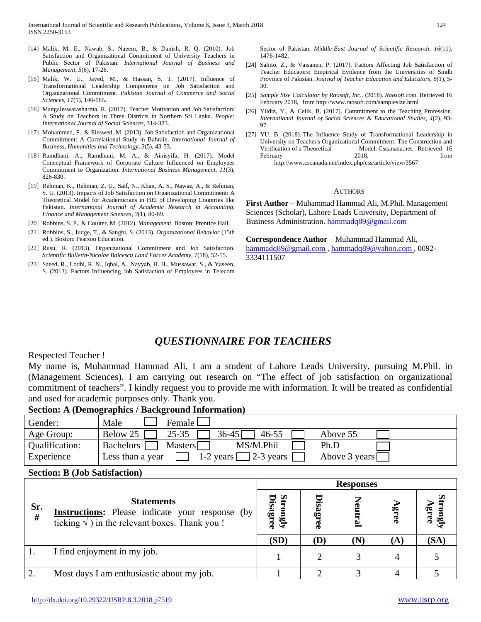- [14] Malik, M. E., Nawab, S., Naeem, B., & Danish, R. Q. (2010). Job Satisfaction and Organizational Commitment of University Teachers in Public Sector of Pakistan. *International Journal of Business and Management, 5*(6), 17-26.
- [15] Malik, W. U., Javed, M., & Hassan, S. T. (2017). Influence of Transformational Leadership Components on Job Satisfaction and Organizational Commitment. *Pakistan Journal of Commerce and Social Sciences, 11*(1), 146-165.
- [16] Mangaleswarasharma, R. (2017). Teacher Motivation and Job Satisfaction: A Study on Teachers in Three Districts in Northern Sri Lanka. *People: International Journal of Social Sciences*, 314-323.
- [17] Mohammed, F., & Eleswed, M. (2013). Job Satisfaction and Organizational Commitment: A Correlational Study in Bahrain. *International Journal of Business, Humanities and Technology, 3*(5), 43-53.
- [18] Ramdhani, A., Ramdhani, M. A., & Ainisyifa, H. (2017). Model Conceptual Framework of Corporate Culture Influenced on Employees Commitment to Organization. *International Business Management, 11*(3), 826-830.
- [19] Rehman, K., Rehman, Z. U., Saif, N., Khan, A. S., Nawaz, A., & Rehman, S. U. (2013). Impacts of Job Satisfaction on Organizational Commitment: A Theoretical Model for Academicians in HEI of Developing Countries like Pakistan. *International Journal of Academic Research in Accounting, Finance and Management Sciences, 3*(1), 80-89.
- [20] Robbins, S. P., & Coulter, M. (2012). *Management.* Boston: Prentice Hall.
- [21] Robbins, S., Judge, T., & Sanghi, S. (2013). *Organizational Behavior* (15th ed.). Boston: Pearson Education.
- [22] Rusu, R. (2013). Organizational Commitment and Job Satisfaction. *Scientific Bulletin-Nicolae Balcescu Land Forces Academy, 1*(18), 52-55.
- [23] Saeed, R., Lodhi, R. N., Iqbal, A., Nayyab, H. H., Mussawar, S., & Yaseen, S. (2013). Factors Influencing Job Satisfaction of Employees in Telecom

Sector of Pakistan. *Middle-East Journal of Scientific Research, 16*(11), 1476-1482.

- [24] Sahito, Z., & Vaisanen, P. (2017). Factors Affecting Job Satisfaction of Teacher Educators: Empirical Evidence from the Universities of Sindh Province of Pakistan. *Journal of Teacher Education and Educators, 6*(1), 5- 30.
- [25] *Sample Size Calculator by Raosoft, Inc.*. (2018). *Raosoft.com*. Retrieved 16 February 2018, from http://www.raosoft.com/samplesize.html
- [26] Yildiz, Y., & Celik, B. (2017). Commitment to the Teaching Profession. *International Journal of Social Sciences & Educational Studies, 4*(2), 93- 97.
- [27] YU, B. (2018). The Influence Study of Transformational Leadership in University on Teacher's Organizational Commitment: The Construction and Verification of a Theoretical Model. Cscanada.net. Retrieved 16<br>February 1018 February 2018, from http://www.cscanada.net/index.php/css/article/view/3567

#### **AUTHORS**

**First Author** – Muhammad Hammad Ali, M.Phil. Management Sciences (Scholar), Lahore Leads University, Department of Business Administration. [hammadq89@gmail.com](mailto:hammadq89@gmail.com)

**Correspondence Author** – Muhammad Hammad Ali, [hammadq89@gmail.com](mailto:hammadq89@gmail.com) , [hammadq89@yahoo.com](mailto:hammadq89@yahoo.com) , 0092- 3334111507

# *QUESTIONNAIRE FOR TEACHERS*

# Respected Teacher !

My name is, Muhammad Hammad Ali, I am a student of Lahore Leads University, pursuing M.Phil. in (Management Sciences). I am carrying out research on "The effect of job satisfaction on organizational commitment of teachers". I kindly request you to provide me with information. It will be treated as confidential and used for academic purposes only. Thank you.

## **Section: A (Demographics / Background Information)**

| Gender:        | Male<br>Female L                                                                        |
|----------------|-----------------------------------------------------------------------------------------|
| Age Group:     | $36 - 45$<br>$25 - 35$<br>Below 25<br>$46 - 55$<br>Above 55                             |
| Qualification: | MS/M.Phil<br><b>Bachelors</b><br><b>Masters</b><br>Ph.D                                 |
| Experience     | $\vert$ 2-3 years $\vert$<br>Above $3 \text{ years}$<br>$1-2$ years<br>Less than a year |

# **Section: B (Job Satisfaction)**

|          |                                                                                                                                       | <b>Responses</b>           |             |     |          |                       |  |
|----------|---------------------------------------------------------------------------------------------------------------------------------------|----------------------------|-------------|-----|----------|-----------------------|--|
| Sr.<br># | <b>Statements</b><br><b>Instructions:</b> Please indicate your response (by<br>ticking $\sqrt{}$ ) in the relevant boxes. Thank you ! | <b>bisagree</b><br>trongly | Disagr<br>œ | Z   | ٩È<br>ஜி | ত্ত<br><u>ଜ୍</u><br>ஃ |  |
|          |                                                                                                                                       | (SD)                       | (D)         | (N) | (A)      | (SA)                  |  |
|          | I find enjoyment in my job.                                                                                                           |                            |             |     | 4        |                       |  |
| 2.       | Most days I am enthusiastic about my job.                                                                                             |                            |             |     |          |                       |  |